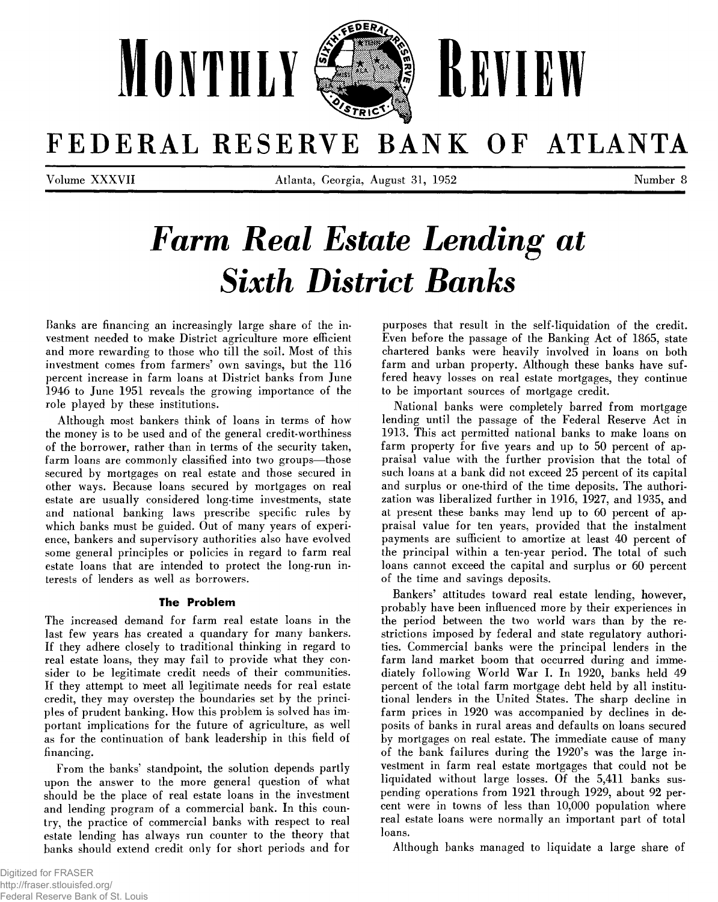

## FEDERAL RESERVE BANK OF ATLANTA

Volume X X X V II Atlanta, Georgia, August 31, 1952 Number 8

# **Farm Real Estate Lending at Sixth District Banks**

Banks are financing an increasingly large share of the investment needed to make District agriculture more efficient and more rewarding to those who till the soil. Most of this investment comes from farmers' own savings, but the 116 percent increase in farm loans at District banks from June 1946 to June 1951 reveals the growing importance of the role played by these institutions.

Although most bankers think of loans in terms of how the money is to be used and of the general credit-worthiness of the borrower, rather than in terms of the security taken, farm loans are commonly classified into two groups—those secured by mortgages on real estate and those secured in other ways. Because loans secured by mortgages on real estate are usually considered long-time investments, state and national banking laws prescribe specific rules by which banks must be guided. Out of many years of experience, bankers and supervisory authorities also have evolved some general principles or policies in regard to farm real estate loans that are intended to protect the long-run interests of lenders as well as borrowers.

#### **The Problem**

The increased demand for farm real estate loans in the last few years has created a quandary for many bankers. If they adhere closely to traditional thinking in regard to real estate loans, they may fail to provide what they consider to be legitimate credit needs of their communities. If they attempt to meet all legitimate needs for real estate credit, they may overstep the boundaries set by the principles of prudent banking. How this problem is solved has important implications for the future of agriculture, as well as for the continuation of bank leadership in this field of financing.

From the banks' standpoint, the solution depends partly upon the answer to the more general question of what should be the place of real estate loans in the investment and lending program of a commercial bank. In this country, the practice of commercial banks with respect to real estate lending has always run counter to the theory that banks should extend credit only for short periods and for

purposes that result in the self-liquidation of the credit. Even before the passage of the Banking Act of 1865, state chartered banks were heavily involved in loans on both farm and urban property. Although these banks have suffered heavy losses on real estate mortgages, they continue to be important sources of mortgage credit.

National banks were completely barred from mortgage lending until the passage of the Federal Reserve Act in 1913. This act permitted national banks to make loans on farm property for five years and up to 50 percent of appraisal value with the further provision that the total of such loans at a bank did not exceed 25 percent of its capital and surplus or one-third of the time deposits. The authorization was liberalized further in 1916, 1927, and 1935, and at present these banks may lend up to 60 percent of appraisal value for ten years, provided that the instalment payments are sufficient to amortize at least 40 percent of the principal within a ten-year period. The total of such loans cannot exceed the capital and surplus or 60 percent of the time and savings deposits.

Bankers' attitudes toward real estate lending, however, probably have been influenced more by their experiences in the period between the two world wars than by the restrictions imposed by federal and state regulatory authorities. Commercial banks were the principal lenders in the farm land market boom that occurred during and immediately following World War I. In 1920, banks held 49 percent of the total farm mortgage debt held by all institutional lenders in the United States. The sharp decline in farm prices in 1920 was accompanied by declines in deposits of banks in rural areas and defaults on loans secured by mortgages on real estate. The immediate cause of many of the bank failures during the 1920's was the large investment in farm real estate mortgages that could not be liquidated without large losses. Of the 5,411 banks suspending operations from 1921 through 1929, about 92 percent were in towns of less than 10,000 population where real estate loans were normally an important part of total loans.

Although banks managed to liquidate a large share of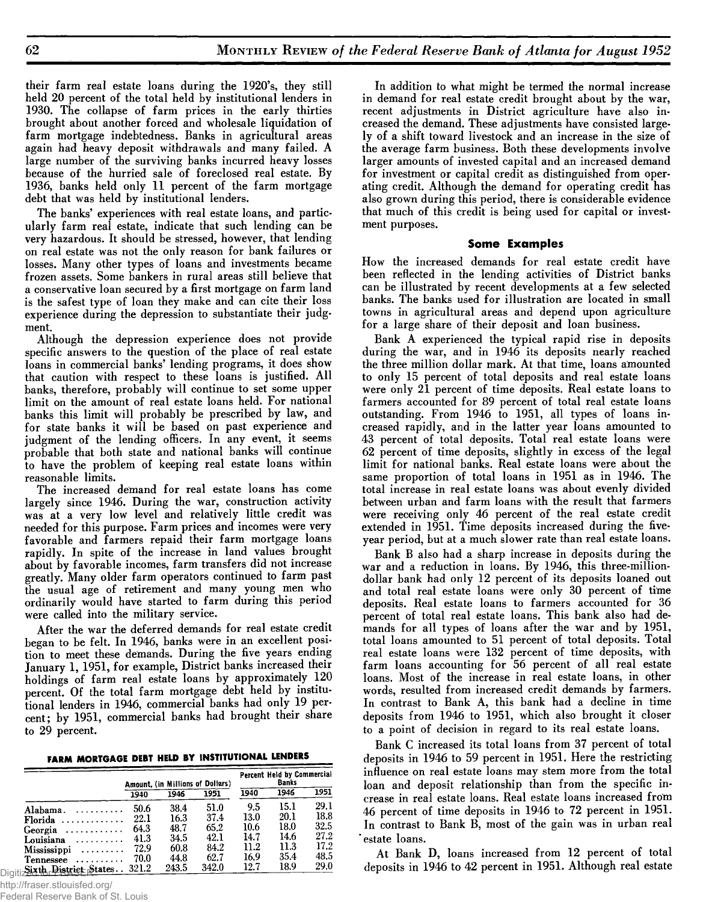their farm real estate loans during the 1920's, they still held 20 percent of the total held by institutional lenders in 1930. The collapse of farm prices in the early thirties brought about another forced and wholesale liquidation of farm mortgage indebtedness. Banks in agricultural areas again had heavy deposit withdrawals and many failed. A large number of the surviving banks incurred heavy losses because of the hurried sale of foreclosed real estate. By 1936, banks held only 11 percent of the farm mortgage debt that was held by institutional lenders.

The banks' experiences with real estate loans, and particularly farm real estate, indicate that such lending can be very hazardous. It should be stressed, however, that lending on real estate was not the only reason for bank failures or losses. Many other types of loans and investments became frozen assets. Some bankers in rural areas still believe that a conservative loan secured by a first mortgage on farm land is the safest type of loan they make and can cite their loss experience during the depression to substantiate their judgment.

Although the depression experience does not provide specific answers to the question of the place of real estate loans in commercial banks' lending programs, it does show that caution with respect to these loans is justified. All banks, therefore, probably will continue to set some upper limit on the amount of real estate loans held. For national banks this limit will probably be prescribed by law, and for state banks it will be based on past experience and judgment of the lending officers. In any event, it seems probable that both state and national banks will continue to have the problem of keeping real estate loans within reasonable limits.

The increased demand for real estate loans has come largely since 1946. During the war, construction activity was at a very low level and relatively little credit was needed for this purpose. Farm prices and incomes were very favorable and farmers repaid their farm mortgage loans rapidly. In spite of the increase in land values brought about by favorable incomes, farm transfers did not increase greatly. Many older farm operators continued to farm past the usual age of retirement and many young men who ordinarily would have started to farm during this period were called into the military service.

After the war the deferred demands for real estate credit began to be felt. In 1946, banks were in an excellent position to meet these demands. During the five years ending January 1, 1951, for example, District banks increased their holdings of farm real estate loans by approximately 120 percent. Of the total farm mortgage debt held by institutional lenders in 1946, commercial banks had only 19 percent; by 1951, commercial banks had brought their share to 29 percent.

|  |  |  |  |  | FARM MORTGAGE DEBT HELD BY INSTITUTIONAL LENDERS |  |
|--|--|--|--|--|--------------------------------------------------|--|
|--|--|--|--|--|--------------------------------------------------|--|

|                                               |        |       | Amount, (in Millions of Dollars) |      | Percent Held by Commercial<br>Banks |      |
|-----------------------------------------------|--------|-------|----------------------------------|------|-------------------------------------|------|
|                                               | 1940   | 1946  | 1951                             | 1940 | 1946                                | 1951 |
| Alahama. $\ldots$                             | 50.6   | 38.4  | 51.0                             | 9.5  | 15.1                                | 29.1 |
| Florida                                       | 22.1   | 16.3  | 37.4                             | 13.0 | 20.1                                | 18.8 |
| Georgia                                       | 64.3   | 48.7  | 65.2                             | 10.6 | 18.0                                | 32.5 |
| Louisiana                                     | 41.3   | 34.5  | 42.1                             | 14.7 | 14.6                                | 27.2 |
| Mississippi                                   | 72.9   | 60.8  | 84.2                             | 11.2 | 11.3                                | 17.2 |
| $T$ ennessee                                  | 70.0   | 44.8  | 62.7                             | 16.9 | 35.4                                | 48.5 |
| $\alpha$ , and $\alpha$ , $\alpha$ , $\alpha$ | າດ 1 ຕ | 049 E | <b>249 A</b>                     | 197  | 18 Q                                | 90 N |

Digiti $\frac{\text{Six th}}{\text{Dist}}$  **Pistrice** States . . 321.2 243.5 342.0 12.7 18.9 29.0

http://fraser.stlouisfed.org/

Federal Reserve Bank of St. Louis

In addition to what might be termed the normal increase in demand for real estate credit brought about by the war, recent adjustments in District agriculture have also increased the demand. These adjustments have consisted largely of a shift toward livestock and an increase in the size of the average farm business. Both these developments involve larger amounts of invested capital and an increased demand for investment or capital credit as distinguished from operating credit. Although the demand for operating credit has also grown during this period, there is considerable evidence that much of this credit is being used for capital or investment purposes.

#### **Some Examples**

How the increased demands for real estate credit have been reflected in the lending activities of District banks can be illustrated by recent developments at a few selected banks. The banks used for illustration are located in small towns in agricultural areas and depend upon agriculture for a large share of their deposit and loan business.

Bank A experienced the typical rapid rise in deposits during the war, and in 1946 its deposits nearly reached the three million dollar mark. At that time, loans amounted to only 15 percent of total deposits and real estate loans were only 21 percent of time deposits. Real estate loans to farmers accounted for 89 percent of total real estate loans outstanding. From 1946 to 1951, all types of loans increased rapidly, and in the latter year loans amounted to 43 percent of total deposits. Total real estate loans were 62 percent of time deposits, slightly in excess of the legal limit for national banks. Real estate loans were about the same proportion of total loans in 1951 as in 1946. The total increase in real estate loans was about evenly divided between urban and farm loans with the result that farmers were receiving only 46 percent of the real estate credit extended in 1951. Time deposits increased during the fiveyear period, but at a much slower rate than real estate loans.

Bank B also had a sharp increase in deposits during the war and a reduction in loans. By 1946, this three-milliondollar bank had only 12 percent of its deposits loaned out and total real estate loans were only 30 percent of time deposits. Real estate loans to farmers accounted for 36 percent of total real estate loans. This bank also had demands for all types of loans after the war and by 1951, total loans amounted to 51 percent of total deposits. Total real estate loans were 132 percent of time deposits, with farm loans accounting for 56 percent of all real estate loans. Most of the increase in real estate loans, in other words, resulted from increased credit demands by farmers. In contrast to Bank A, this bank had a decline in time deposits from 1946 to 1951, which also brought it closer to a point of decision in regard to its real estate loans.

Bank C increased its total loans from 37 percent of total deposits in 1946 to 59 percent in 1951. Here the restricting influence on real estate loans may stem more from the total loan and deposit relationship than from the specific increase in real estate loans. Real estate loans increased from 46 percent of time deposits in 1946 to 72 percent in 1951. In contrast to Bank B, most of the gain was in urban real 'estate loans.

At Bank D, loans increased from 12 percent of total deposits in 1946 to 42 percent in 1951. Although real estate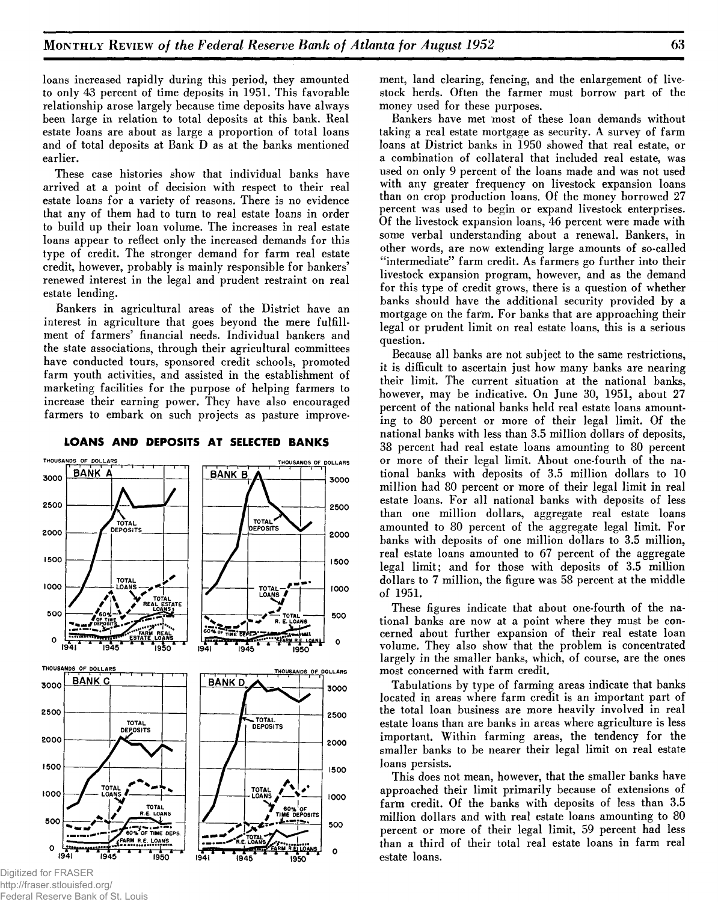loans increased rapidly during this period, they amounted to only 43 percent of time deposits in 1951. This favorable relationship arose largely because time deposits have always been large in relation to total deposits at this bank. Real estate loans are about as large a proportion of total loans and of total deposits at Bank D as at the banks mentioned earlier.

These case histories show that individual banks have arrived at a point of decision with respect to their real estate loans for a variety of reasons. There is no evidence that any of them had to turn to real estate loans in order to build up their loan volume. The increases in real estate loans appear to reflect only the increased demands for this type of credit. The stronger demand for farm real estate credit, however, probably is mainly responsible for bankers' renewed interest in the legal and prudent restraint on real estate lending.

Bankers in agricultural areas of the District have an interest in agriculture that goes beyond the mere fulfillment of farmers' financial needs. Individual bankers and the state associations, through their agricultural committees have conducted tours, sponsored credit schools, promoted farm youth activities, and assisted in the establishment of marketing facilities for the purpose of helping farmers to increase their earning power. They have also encouraged farmers to embark on such projects as pasture improve-

BANK A <sup>1</sup>*i* **BANK B 3000 3000** / **\ 2500** / **2500** TOTAL" \ *FOTAL* 2000 2000 **1500 1500** TOTAL<br>1.0ANS - - - 4 1000 1000  $TOTAL -$ *J* 4 / r LOANS *t* AL **V**  $\bigwedge$   $\bigwedge^r$   $\bigwedge^r$  **REAL E** iSTATE N S l **500**  $\ell_{\rm cool}$   $\rightarrow$   $\lambda$ **500** *M* → TOTAL ^ *+* R. E. LOANS 0EP^ 'J S - • OF TIME OF  $\mathcal{F} = \mathcal{F} \mathcal{F} \mathcal{F} \mathcal{F} \mathcal{F} \mathcal{F} \mathcal{F} \mathcal{F} \mathcal{F} \mathcal{F} \mathcal{F} \mathcal{F} \mathcal{F} \mathcal{F} \mathcal{F} \mathcal{F} \mathcal{F} \mathcal{F} \mathcal{F} \mathcal{F} \mathcal{F} \mathcal{F} \mathcal{F} \mathcal{F} \mathcal{F} \mathcal{F} \mathcal{F} \mathcal{F} \mathcal{F} \mathcal{F} \mathcal{F} \mathcal{F} \mathcal{F} \mathcal{F} \mathcal{F} \mathcal$ 0 T <del>i a i l i a a a a a</del> **(941 1945 1950 1941 1950** THOUSANDS OF DOLLARS THOUSANDS OF POLLARS —<br>— **BANK C BANK D 3000 3000** / **2500 2500** STOTAL<br>| DEPOSITS TOTAL<br>DEPOSITS 2000 2000 **1500 1500** TAL TO TA L *M*<sup>V</sup> s 1000 10ANS **\*** ans ( 1000 W 60% OF <sup>V</sup>*M* TOTAI *\** TIME DEPOSITS **/ RE** LOANS **500 500** • > — **TIME DEPS**  $\blacktriangledown$   $\epsilon$  farm  $\epsilon$ . Loans LOANS / , . . . . . . . . . . . . **............ ...................**j, ••••••••••••• ••••••  $\circ$  $\mathbf{o}$  $\sqrt{950}$ 1945

#### **LOANS AND DEPOSITS AT SELECTED BANKS**

THOUSANDS OF DOLLARS

1950

....."i— r

ment, land clearing, fencing, and the enlargement of livestock herds. Often the farmer must borrow part of the money used for these purposes.

Bankers have met most of these loan demands without taking a real estate mortgage as security. A survey of farm loans at District banks in 1950 showed that real estate, or a combination of collateral that included real estate, was used on only 9 percent of the loans made and was not used with any greater frequency on livestock expansion loans than on crop production loans. Of the money borrowed 27 percent was used to begin or expand livestock enterprises. Of the livestock expansion loans, 46 percent were made with some verbal understanding about a renewal. Bankers, in other words, are now extending large amounts of so-called "intermediate" farm credit. As farmers go further into their livestock expansion program, however, and as the demand for this type of credit grows, there is a question of whether banks should have the additional security provided by a mortgage on the farm. For banks that are approaching their legal or prudent limit on real estate loans, this is a serious question.

Because all banks are not subject to the same restrictions, it is difficult to ascertain just how many banks are nearing their limit. The current situation at the national banks, however, may be indicative. On June 30, 1951, about 27 percent of the national banks held real estate loans amounting to 80 percent or more of their legal limit. Of the national banks with less than 3.5 million dollars of deposits, 38 percent had real estate loans amounting to 80 percent or more of their legal limit. About one-fourth of the national banks with deposits of 3.5 million dollars to 10 million had 80 percent or more of their legal limit in real estate loans. For all national banks with deposits of less than one million dollars, aggregate real estate loans amounted to 80 percent of the aggregate legal limit. For banks with deposits of one million dollars to 3.5 million, real estate loans amounted to 67 percent of the aggregate legal limit; and for those with deposits of 3.5 million dollars to 7 million, the figure was 58 percent at the middle of 1951.

These figures indicate that about one-fourth of the national banks are now at a point where they must be concerned about further expansion of their real estate loan volume. They also show that the problem is concentrated largely in the smaller banks, which, of course, are the ones most concerned with farm credit.

Tabulations by type of farming areas indicate that banks located in areas where farm credit is an important part of the total loan business are more heavily involved in real estate loans than are banks in areas where agriculture is less important. Within farming areas, the tendency for the smaller banks to be nearer their legal limit on real estate loans persists.

This does not mean, however, that the smaller banks have approached their limit primarily because of extensions of farm credit. Of the banks with deposits of less than 3.5 million dollars and with real estate loans amounting to 80 percent or more of their legal limit, 59 percent had less than a third of their total real estate loans in farm real estate loans.

Digitized for FRASER http://fraser.stlouisfed.org/ Federal Reserve Bank of St. Louis

THOUSANDS OF DOLLARS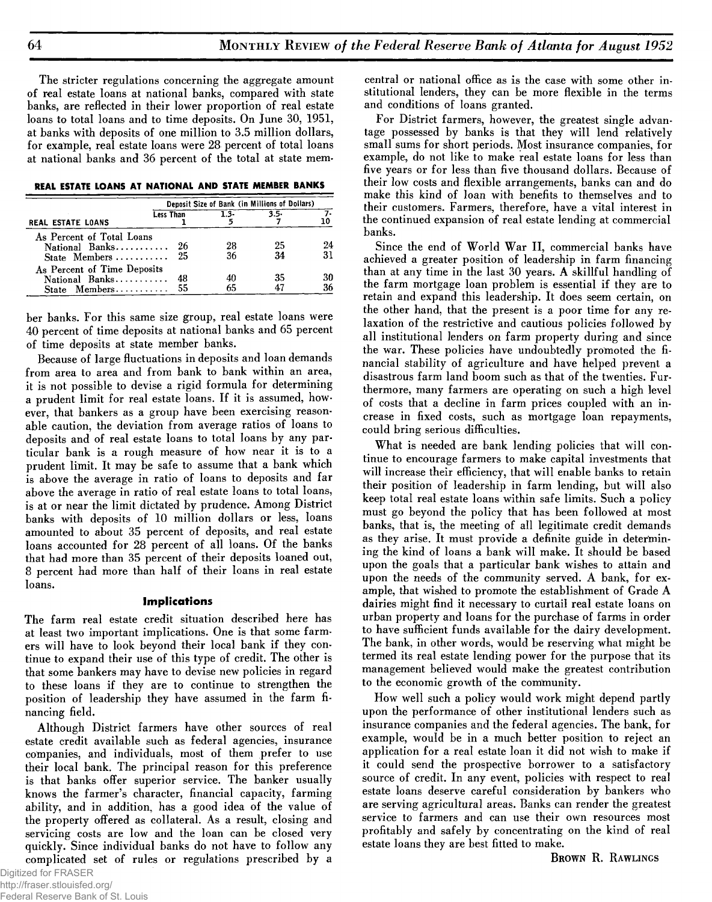The stricter regulations concerning the aggregate amount of real estate loans at national banks, compared with state banks, are reflected in their lower proportion of real estate loans to total loans and to time deposits. On June 30, 1951, at banks with deposits of one million to 3.5 million dollars, for example, real estate loans were 28 percent of total loans at national banks and 36 percent of the total at state mem-

**REAL ESTATE LOANS AT NATIONAL AND STATE MEMBER BANKS**

|                                              | Deposit Size of Bank (in Millions of Dollars) |         |         |    |  |
|----------------------------------------------|-----------------------------------------------|---------|---------|----|--|
| REAL ESTATE LOANS                            | <b>Less Than</b>                              | $1.3 -$ | $3.5 -$ |    |  |
| As Percent of Total Loans<br>National Banks  | 26                                            | 28      | 25      | 24 |  |
| State Members<br>As Percent of Time Deposits | 25                                            | 36      | 34      | 31 |  |
| National Banks                               | 48                                            |         | 35      | 30 |  |
| State Members                                | 55                                            | 65      |         | 36 |  |

ber banks. For this same size group, real estate loans were 40 percent of time deposits at national banks and 65 percent of time deposits at state member banks.

Because of large fluctuations in deposits and loan demands from area to area and from bank to bank within an area, it is not possible to devise a rigid formula for determining a prudent limit for real estate loans. If it is assumed, however, that bankers as a group have been exercising reasonable caution, the deviation from average ratios of loans to deposits and of real estate loans to total loans by any particular bank is a rough measure of how near it is to a prudent limit. It may be safe to assume that a bank which is above the average in ratio of loans to deposits and far above the average in ratio of real estate loans to total loans, is at or near the limit dictated by prudence. Among District banks with deposits of 10 million dollars or less, loans amounted to about 35 percent of deposits, and real estate loans accounted for 28 percent of all loans. Of the banks that had more than 35 percent of their deposits loaned out, 8 percent had more than half of their loans in real estate loans.

#### **Implications**

The farm real estate credit situation described here has at least two important implications. One is that some farmers will have to look beyond their local bank if they continue to expand their use of this type of credit. The other is that some bankers may have to devise new policies in regard to these loans if they are to continue to strengthen the position of leadership they have assumed in the farm financing field.

Although District farmers have other sources of real estate credit available such as federal agencies, insurance companies, and individuals, most of them prefer to use their local bank. The principal reason for this preference is that banks offer superior service. The banker usually knows the farmer's character, financial capacity, farming ability, and in addition, has a good idea of the value of the property offered as collateral. As a result, closing and servicing costs are low and the loan can be closed very quickly. Since individual banks do not have to follow any complicated set of rules or regulations prescribed by a

Digitized for FRASER http://fraser.stlouisfed.org/ Federal Reserve Bank of St. Louis central or national office as is the case with some other institutional lenders, they can be more flexible in the terms and conditions of loans granted.

For District farmers, however, the greatest single advantage possessed by banks is that they will lend relatively small sums for short periods. Most insurance companies, for example, do not like to make real estate loans for less than five years or for less than five thousand dollars. Because of their low costs and flexible arrangements, banks can and do make this kind of loan with benefits to themselves and to their customers. Farmers, therefore, have a vital interest in the continued expansion of real estate lending at commercial banks.

Since the end of World War II, commercial banks have achieved a greater position of leadership in farm financing than at any time in the last 30 years. A skillful handling of the farm mortgage loan problem is essential if they are to retain and expand this leadership. It does seem certain, on the other hand, that the present is a poor time for any relaxation of the restrictive and cautious policies followed by all institutional lenders on farm property during and since the war. These policies have undoubtedly promoted the financial stability of agriculture and have helped prevent a disastrous farm land boom such as that of the twenties. Furthermore, many farmers are operating on such a high level of costs that a decline in farm prices coupled with an increase in fixed costs, such as mortgage loan repayments, could bring serious difficulties.

What is needed are bank lending policies that will continue to encourage farmers to make capital investments that will increase their efficiency, that will enable banks to retain their position of leadership in farm lending, but will also keep total real estate loans within safe limits. Such a policy must go beyond the policy that has been followed at most banks, that is, the meeting of all legitimate credit demands as they arise. It must provide a definite guide in determining the kind of loans a bank will make. It should be based upon the goals that a particular bank wishes to attain and upon the needs of the community served. A bank, for example, that wished to promote the establishment of Grade A dairies might find it necessary to curtail real estate loans on urban property and loans for the purchase of farms in order to have sufficient funds available for the dairy development. The bank, in other words, would be reserving what might be termed its real estate lending power for the purpose that its management believed would make the greatest contribution to the economic growth of the community.

How well such a policy would work might depend partly upon the performance of other institutional lenders such as insurance companies and the federal agencies. The bank, for example, would be in a much better position to reject an application for a real estate loan it did not wish to make if it could send the prospective borrower to a satisfactory source of credit. In any event, policies with respect to real estate loans deserve careful consideration by bankers who are serving agricultural areas. Banks can render the greatest service to farmers and can use their own resources most profitably and safely by concentrating on the kind of real estate loans they are best fitted to make.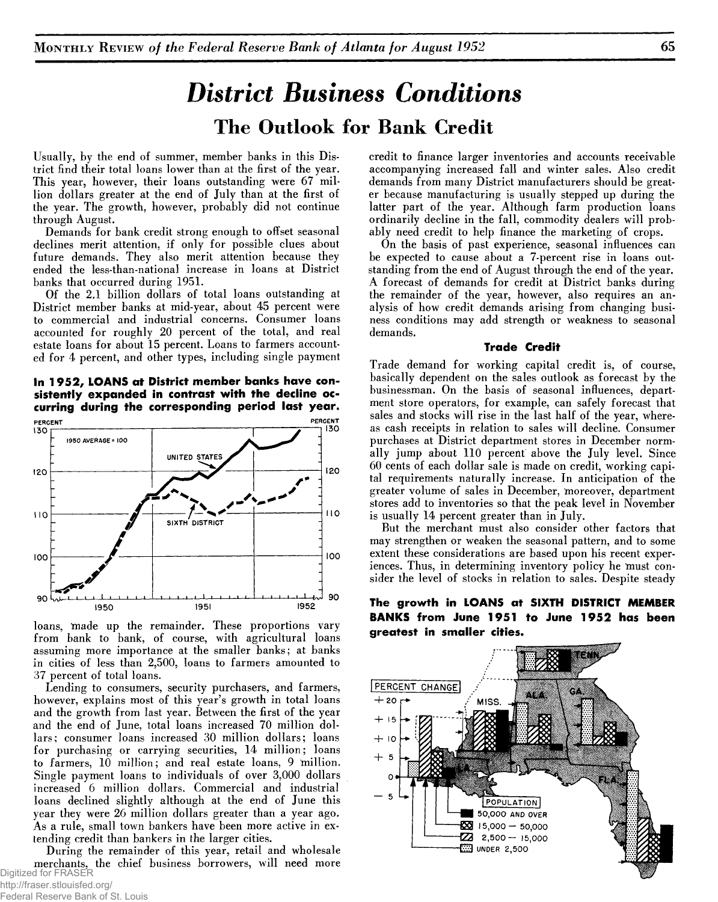## *District Business Conditions* The Outlook for Bank Credit

Usually, by the end of summer, member banks in this District find their total loans lower than at the first of the year. This year, however, their loans outstanding were 67 million dollars greater at the end of July than at the first of the year. The growth, however, probably did not continue through August.

Demands for bank credit strong enough to offset seasonal declines merit attention, if only for possible clues about future demands. They also merit attention because they ended the less-than-national increase in loans at District banks that occurred during 1951.

Of the 2.1 billion dollars of total loans outstanding at District member banks at mid-year, about 45 percent were to commercial and industrial concerns. Consumer loans accounted for roughly 20 percent of the total, and real estate loans for about 15 percent. Loans to farmers accounted for 4 percent, and other types, including single payment

**In 1952, LOANS at District member banks have consistently expanded in contrast with the decline occurring during the corresponding period last year.**



loans, made up the remainder. These proportions vary from bank to bank, of course, with agricultural loans assuming more importance at the smaller banks; at banks in cities of less than 2,500, loans to farmers amounted to 37 percent of total loans.

Lending to consumers, security purchasers, and farmers, however, explains most of this year's growth in total loans and the growth from last year. Between the first of the year and the end of June, total loans increased 70 million dollars; consumer loans increased 30 million dollars; loans for purchasing or carrying securities, 14 million; loans to farmers, 10 million; and real estate loans, 9 million. Single payment loans to individuals of over 3,000 dollars increased 6 million dollars. Commercial and industrial loans declined slightly although at the end of June this year they were 26 million dollars greater than a year ago. As a rule, small town bankers have been more active in extending credit than bankers in the larger cities.

During the remainder of this year, retail and wholesale merchants, the chief business borrowers, will need more Digitized for FRASER

credit to finance larger inventories and accounts receivable accompanying increased fall and winter sales. Also credit demands from many District manufacturers should be greater because manufacturing is usually stepped up during the latter part of the year. Although farm production loans ordinarily decline in the fall, commodity dealers will probably need credit to help finance the marketing of crops.

On the basis of past experience, seasonal influences can be expected to cause about a 7-percent rise in loans outstanding from the end of August through the end of the year. A forecast of demands for credit at District banks during the remainder of the year, however, also requires an analysis of how credit demands arising from changing business conditions may add strength or weakness to seasonal demands.

#### **Trade Credit**

Trade demand for working capital credit is, of course, basically dependent on the sales outlook as forecast by the businessman. On the basis of seasonal influences, department store operators, for example, can safely forecast that sales and stocks will rise in the last half of the year, whereas cash receipts in relation to sales will decline. Consumer purchases at District department stores in December normally jump about 110 percent above the July level. Since 60 cents of each dollar sale is made on credit, working capital requirements naturally increase. In anticipation of the greater volume of sales in December, moreover, department stores add to inventories so that the peak level in November is usually 14 percent greater than in July.

But the merchant must also consider other factors that may strengthen or weaken the seasonal pattern, and to some extent these considerations are based upon his recent experiences. Thus, in determining inventory policy he must consider the level of stocks in relation to sales. Despite steady

**The growth in LOANS at SIXTH DISTRICT MEMBER BANKS from June 1951 to June 1952 has been greatest in smaller cities.**

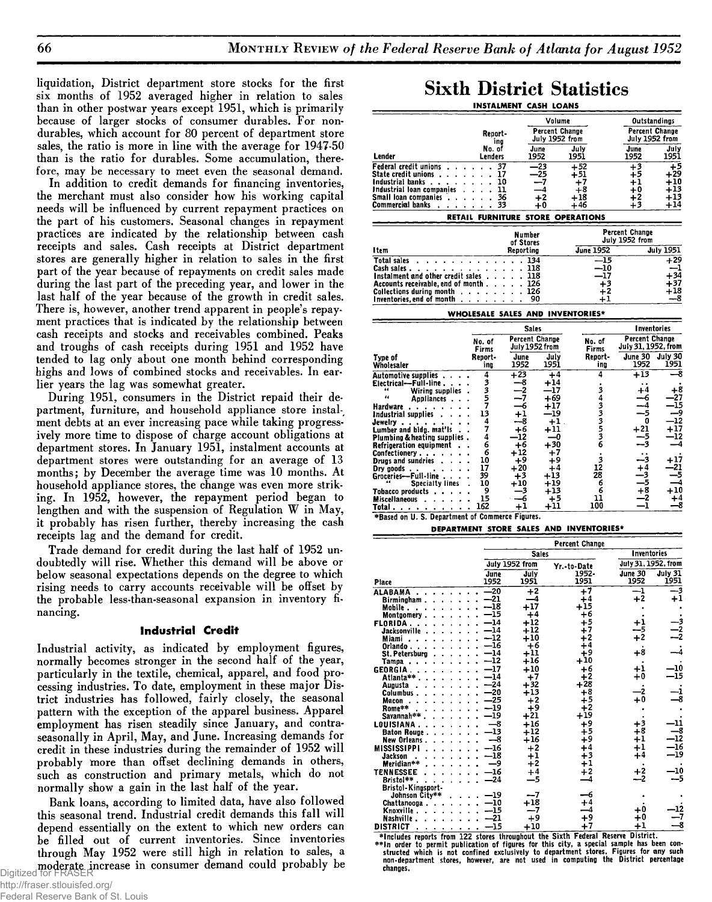liquidation, District department store stocks for the first six months of 1952 averaged higher in relation to sales than in other postwar years except 1951, which is primarily because of larger stocks of consumer durables. For nondurables, which account for 80 percent of department store sales, the ratio is more in line with the average for 1947-50 than is the ratio for durables. Some accumulation, therefore, may be necessary to meet even the seasonal demand.

In addition to credit demands for financing inventories, the merchant must also consider how his working capital needs will be influenced by current repayment practices on the part of his customers. Seasonal changes in repayment practices are indicated by the relationship between cash receipts and sales. Cash receipts at District department stores are generally higher in relation to sales in the first part of the year because of repayments on credit sales made during the last part of the preceding year, and lower in the last half of the year because of the growth in credit sales. There is, however, another trend apparent in people's repayment practices that is indicated by the relationship between cash receipts and stocks and receivables combined. Peaks and troughs of cash receipts during 1951 and 1952 have tended to lag only about one month behind corresponding highs and lows of combined stocks and receivables. In earlier years the lag was somewhat greater.

During 1951, consumers in the District repaid their department, furniture, and household appliance store instalment debts at an ever increasing pace while taking progressively more time to dispose of charge account obligations at department stores. In January 1951, instalment accounts at department stores were outstanding for an average of 13 months; by December the average time was 10 months. At household appliance stores, the change was even more striking. In 1952, however, the repayment period began to lengthen and with the suspension of Regulation W in May, it probably has risen further, thereby increasing the cash receipts lag and the demand for credit.

Trade demand for credit during the last half of 1952 undoubtedly will rise. Whether this demand will be above or below seasonal expectations depends on the degree to which rising needs to carry accounts receivable will be offset by the probable less-than-seasonal expansion in inventory financing.

#### **Industrial Credit**

Industrial activity, as indicated by employment figures, normally becomes stronger in the second half of the year, particularly in the textile, chemical, apparel, and food processing industries. To date, employment in these major District industries has followed, fairly closely, the seasonal pattern with the exception of the apparel business. Apparel employment has risen steadily since January, and contraseasonally in April, May, and June. Increasing demands for credit in these industries during the remainder of 1952 will probably more than offset declining demands in others, such as construction and primary metals, which do not normally show a gain in the last half of the year.

Bank loans, according to limited data, have also followed this seasonal trend. Industrial credit demands this fall will depend essentially on the extent to which new orders can be filled out of current inventories. Since inventories through May 1952 were still high in relation to sales, a moderate increase in consumer demand could probably be Digitized for FRASER

### **Sixth District Statistics** INSTALMENT CASH LOANS

|                                                                                                                                                                                                                                                                                                                                                                                                                                                                                 |                 |                       | Volume                                                    |                                   | <b>Outstandings</b>   |                                                                                       |
|---------------------------------------------------------------------------------------------------------------------------------------------------------------------------------------------------------------------------------------------------------------------------------------------------------------------------------------------------------------------------------------------------------------------------------------------------------------------------------|-----------------|-----------------------|-----------------------------------------------------------|-----------------------------------|-----------------------|---------------------------------------------------------------------------------------|
|                                                                                                                                                                                                                                                                                                                                                                                                                                                                                 | Report-         |                       | <b>Percent Change</b>                                     |                                   | Percent Change        |                                                                                       |
|                                                                                                                                                                                                                                                                                                                                                                                                                                                                                 | ina             |                       | July 1952 from                                            |                                   | July 1952 from        |                                                                                       |
|                                                                                                                                                                                                                                                                                                                                                                                                                                                                                 | No. of          |                       | June                                                      | July                              | June                  | July                                                                                  |
| Lender                                                                                                                                                                                                                                                                                                                                                                                                                                                                          | Lenders         |                       | 1952                                                      | 1951                              | 1952                  | 1951                                                                                  |
| Federal credit unions                                                                                                                                                                                                                                                                                                                                                                                                                                                           | 37<br>$\sim$    |                       | $\overline{-23}$                                          | $+52$                             | $+3$                  | +5                                                                                    |
| State credit unions                                                                                                                                                                                                                                                                                                                                                                                                                                                             | 17<br>$\cdot$ . |                       | -25                                                       | $+51$                             | $+5$                  | $+29$                                                                                 |
| Industrial banks                                                                                                                                                                                                                                                                                                                                                                                                                                                                | 10              |                       | -7<br>4                                                   | $+7$                              | $+1$                  | $+10$<br>$+13$                                                                        |
| Industrial loan companies<br>Small loan companies                                                                                                                                                                                                                                                                                                                                                                                                                               | 11<br>36        |                       | $+2$                                                      | +8<br>$+18$                       | $+0$<br>+2            | $+13$                                                                                 |
| <b>Commercial banks</b>                                                                                                                                                                                                                                                                                                                                                                                                                                                         | 33              |                       | +0                                                        | $+46$                             | $+3$                  | $+14$                                                                                 |
|                                                                                                                                                                                                                                                                                                                                                                                                                                                                                 |                 |                       |                                                           | RETAIL FURNITURE STORE OPERATIONS |                       |                                                                                       |
|                                                                                                                                                                                                                                                                                                                                                                                                                                                                                 |                 |                       |                                                           |                                   | <b>Percent Change</b> |                                                                                       |
|                                                                                                                                                                                                                                                                                                                                                                                                                                                                                 |                 | Number<br>of Stores   |                                                           |                                   | July 1952 from        |                                                                                       |
| I tem                                                                                                                                                                                                                                                                                                                                                                                                                                                                           |                 | Reporting             |                                                           | <b>June 1952</b>                  |                       | <b>July 1951</b>                                                                      |
| <b>Total sales</b>                                                                                                                                                                                                                                                                                                                                                                                                                                                              |                 | 134                   |                                                           | $\overline{-15}$                  |                       | $+29$                                                                                 |
| Cash sales                                                                                                                                                                                                                                                                                                                                                                                                                                                                      |                 | 118                   |                                                           | $-10$                             |                       | -1                                                                                    |
| Instalment and other credit sales                                                                                                                                                                                                                                                                                                                                                                                                                                               |                 | 118                   |                                                           | -17                               |                       | $+34$                                                                                 |
| Accounts receivable, end of month                                                                                                                                                                                                                                                                                                                                                                                                                                               |                 | 126                   |                                                           | $+3$                              |                       | $+37$                                                                                 |
| Collections during month                                                                                                                                                                                                                                                                                                                                                                                                                                                        |                 | 126                   |                                                           | $+2$                              |                       | +18<br>-8                                                                             |
| Inventories, end of month<br>$\sim$ $\sim$ $\sim$                                                                                                                                                                                                                                                                                                                                                                                                                               |                 | 90                    |                                                           | $+1$                              |                       |                                                                                       |
|                                                                                                                                                                                                                                                                                                                                                                                                                                                                                 |                 |                       |                                                           | WHOLESALE SALES AND INVENTORIES*  |                       |                                                                                       |
|                                                                                                                                                                                                                                                                                                                                                                                                                                                                                 |                 | <b>Sales</b>          |                                                           |                                   | <b>Inventories</b>    |                                                                                       |
|                                                                                                                                                                                                                                                                                                                                                                                                                                                                                 | No. of          | <b>Percent Change</b> |                                                           | No. of                            | <b>Percent Change</b> |                                                                                       |
|                                                                                                                                                                                                                                                                                                                                                                                                                                                                                 | Firms           | July 1952 from        |                                                           | Firms                             | July 31, 1952, from   |                                                                                       |
| Type of                                                                                                                                                                                                                                                                                                                                                                                                                                                                         | Report-         | June                  | July                                                      | Report-                           | June 30               | July 30                                                                               |
| Wholesaler                                                                                                                                                                                                                                                                                                                                                                                                                                                                      | ina             | 1952                  | 1951                                                      | ing                               | 1952                  | 1951                                                                                  |
| Automotive supplies                                                                                                                                                                                                                                                                                                                                                                                                                                                             | 4               | $+23$                 | $+4$                                                      | 4                                 | $+13$                 | ۹                                                                                     |
| $Electrical-Full-line$                                                                                                                                                                                                                                                                                                                                                                                                                                                          |                 | -8<br>$-2$            | $+14$<br>—17                                              |                                   | $\ddot{\phantom{1}}$  |                                                                                       |
| Wiring supplies<br>44<br>Appliances.                                                                                                                                                                                                                                                                                                                                                                                                                                            |                 |                       |                                                           |                                   |                       |                                                                                       |
|                                                                                                                                                                                                                                                                                                                                                                                                                                                                                 |                 |                       |                                                           |                                   | $^{+4}$               |                                                                                       |
|                                                                                                                                                                                                                                                                                                                                                                                                                                                                                 |                 | -7<br>$-6$            | $+69$<br>+17                                              |                                   | -6<br>-4              |                                                                                       |
| Hardware<br>Industrial supplies                                                                                                                                                                                                                                                                                                                                                                                                                                                 | 3357<br>13      | $+1$                  | —19                                                       |                                   | --5                   |                                                                                       |
| Jewelry                                                                                                                                                                                                                                                                                                                                                                                                                                                                         |                 | --8                   | $+1$                                                      |                                   | n                     |                                                                                       |
| Lumber and bidg. mat'ls                                                                                                                                                                                                                                                                                                                                                                                                                                                         | $\frac{4}{7}$   | +6                    | $\textcolor{red}{\textbf{+}}\textcolor{red}{\textbf{11}}$ |                                   | $+21$                 |                                                                                       |
| <b>Plumbing &amp; heating supplies.</b>                                                                                                                                                                                                                                                                                                                                                                                                                                         | 4               | -12                   | —0                                                        |                                   | -5                    |                                                                                       |
| Refrigeration equipment                                                                                                                                                                                                                                                                                                                                                                                                                                                         | $\ddot{6}$      | $+6$                  | $+30$                                                     | 34333536                          | -3                    |                                                                                       |
| Confectionery                                                                                                                                                                                                                                                                                                                                                                                                                                                                   | 6<br>10         | +12                   | $^{+7}$                                                   |                                   | --3                   |                                                                                       |
| Drugs and sundries $\ldots$ .<br>Dry $\mu$ oods                                                                                                                                                                                                                                                                                                                                                                                                                                 | 17              | $+9$<br>$+20$         | $+9$<br>$+4$                                              | ۇ<br>12                           | $^{+4}$               |                                                                                       |
| Groceries--Full-line                                                                                                                                                                                                                                                                                                                                                                                                                                                            | 39              | $+3$                  | $+13$                                                     | 28                                |                       |                                                                                       |
| Specialty lines .                                                                                                                                                                                                                                                                                                                                                                                                                                                               | 10              | $+10$                 | $+19$                                                     | 6                                 | $\frac{-3}{-5}$       |                                                                                       |
| Tobacco products                                                                                                                                                                                                                                                                                                                                                                                                                                                                | - 9             | -3                    | $+13$                                                     | 6                                 | +8                    |                                                                                       |
| <b>Miscellaneous</b><br>Total<br>$\mathbf{v} = \mathbf{v} + \mathbf{v} + \mathbf{v} + \mathbf{v} + \mathbf{v} + \mathbf{v} + \mathbf{v} + \mathbf{v} + \mathbf{v} + \mathbf{v} + \mathbf{v} + \mathbf{v} + \mathbf{v} + \mathbf{v} + \mathbf{v} + \mathbf{v} + \mathbf{v} + \mathbf{v} + \mathbf{v} + \mathbf{v} + \mathbf{v} + \mathbf{v} + \mathbf{v} + \mathbf{v} + \mathbf{v} + \mathbf{v} + \mathbf{v} + \mathbf{v} + \mathbf{v} + \mathbf{v} + \mathbf$<br>$\blacksquare$ | 15<br>162       | 6<br>$+1$             | $+5$<br>$+11$                                             | 11<br>100                         | -2<br>-1              | +8<br>27<br>-15<br>-9<br>$-12$<br>+17<br>-12<br>+17<br>-21<br>-5<br>+10<br>$+4$<br>-8 |

#### DEPARTMENT STORE SALES AND INVENTORIES\*

|                                                                                                                                                                                                                                                                                                                                                                                                                                                                               |                                                                                                                                                                                                      |                                                                                                                                                                                                        | Percent Change                                                                                                                                                                         |                                                                                         |                                                                                  |
|-------------------------------------------------------------------------------------------------------------------------------------------------------------------------------------------------------------------------------------------------------------------------------------------------------------------------------------------------------------------------------------------------------------------------------------------------------------------------------|------------------------------------------------------------------------------------------------------------------------------------------------------------------------------------------------------|--------------------------------------------------------------------------------------------------------------------------------------------------------------------------------------------------------|----------------------------------------------------------------------------------------------------------------------------------------------------------------------------------------|-----------------------------------------------------------------------------------------|----------------------------------------------------------------------------------|
|                                                                                                                                                                                                                                                                                                                                                                                                                                                                               |                                                                                                                                                                                                      | <b>Sales</b>                                                                                                                                                                                           |                                                                                                                                                                                        | Inventories                                                                             |                                                                                  |
|                                                                                                                                                                                                                                                                                                                                                                                                                                                                               |                                                                                                                                                                                                      | July 1952 from                                                                                                                                                                                         | Yr.-to-Date                                                                                                                                                                            | July 31, 1952, from                                                                     |                                                                                  |
| Place                                                                                                                                                                                                                                                                                                                                                                                                                                                                         | June<br>1952                                                                                                                                                                                         | July<br>1951                                                                                                                                                                                           | 1952.<br>1951                                                                                                                                                                          | June 30<br>1952                                                                         | July 31<br>1951                                                                  |
| ALABAMA<br>Birmingham.<br>Mobile .<br>Montaomery.<br><b>FLORIDA.</b><br>Jacksonville<br>Miami.<br>Orlando<br>St. Petersburg<br>Tampa<br><b>GEORGIA.</b><br>Atlanta**<br>Augusta.<br>Columbus.<br>$\mathbf{r}$ , $\mathbf{r}$ , $\mathbf{r}$ , $\mathbf{r}$<br>Macon<br>Rome**<br>Savannah**<br>$\cdots$<br>LOUISIANA.<br><b>Baton Rouge.</b><br>$\mathbf{r}$ . The set of $\mathbf{r}$<br>New Orleans.<br>$\sim$ $\sim$ $\sim$<br>MISSISSIPPI<br><b>Jackson</b><br>Meridian** | $-20$<br>$-21$<br>$-18$<br>$-15$<br>$-14$<br>$-14$<br>$-12$<br>$-16$<br>$-14$<br>$-12$<br>$-17$<br>$-14$<br>$-24$<br>$-20$<br>$-25$<br>$-19$<br>$-19$<br>$-8$<br>$-13$<br>-8<br>$-16$<br>$-18$<br>و— | $+2$<br>-4<br>$+17$<br>$+4$<br>$+12$<br>$+12$<br>$+10$<br>$+6$<br>$^{\rm +11}$<br>$+16$<br>$+10$<br>$+7$<br>$+32$<br>$+13$<br>$+2$<br>$+9$<br>$+21$<br>$+16$<br>$+12$<br>$+16$<br>$+2$<br>$+1$<br>$+2$ | $+7$<br>$+4$<br>$+15$<br>$+6$<br>$+5$<br>$+7$<br>$+2$<br>$+4$<br>$+9$<br>+10<br>$+6$<br>$+2$<br>$+28$<br>$+8$<br>$+5$<br>$+2$<br>$+19$<br>$+9$<br>$+5$<br>$+9$<br>$+4$<br>$+3$<br>$+1$ | $-1$<br>$+2$<br>$+8$<br>$+1$<br>$+0$<br>$+0$<br>$+3$<br>$+8$<br>$+1$<br>$+1$<br>$^{+4}$ | —3<br>$^{\mathrm{+1}}$<br>-10<br>-15<br>8<br>-11<br>$^{-8}$<br>-12<br>-16<br>-19 |
| <b>TENNESSEE</b><br>an an an an<br>Bristol**.<br>Bristol-Kingsport-                                                                                                                                                                                                                                                                                                                                                                                                           | $-16$<br>$-24$                                                                                                                                                                                       | $+4$<br>—5                                                                                                                                                                                             | $+2$<br>┚                                                                                                                                                                              | $+2$                                                                                    | -10<br>-5                                                                        |
| Johnson City**<br>Chattanooga.<br>Knoxville.<br>Nashville<br><b>DISTRICT</b>                                                                                                                                                                                                                                                                                                                                                                                                  | $-19$<br>$-10$<br>$-15$<br>21<br>$-15$                                                                                                                                                               | $-7$<br>$+18$<br>$-7$<br>$+9$<br>$+10$                                                                                                                                                                 | -6<br>$+4$<br>-4<br>+9<br>$+7$                                                                                                                                                         | +0<br>+0<br>$^{+1}$                                                                     | g                                                                                |

**♦Includes reports from 122 stores throughout the Sixth Federal Reserve District.** \*\*In order to permit publication of figures for this city, a special sample has been con-<br>structed which is not confined exclusively to department stores. Figures for any such<br>non-department stores, however, are not used i **changes.**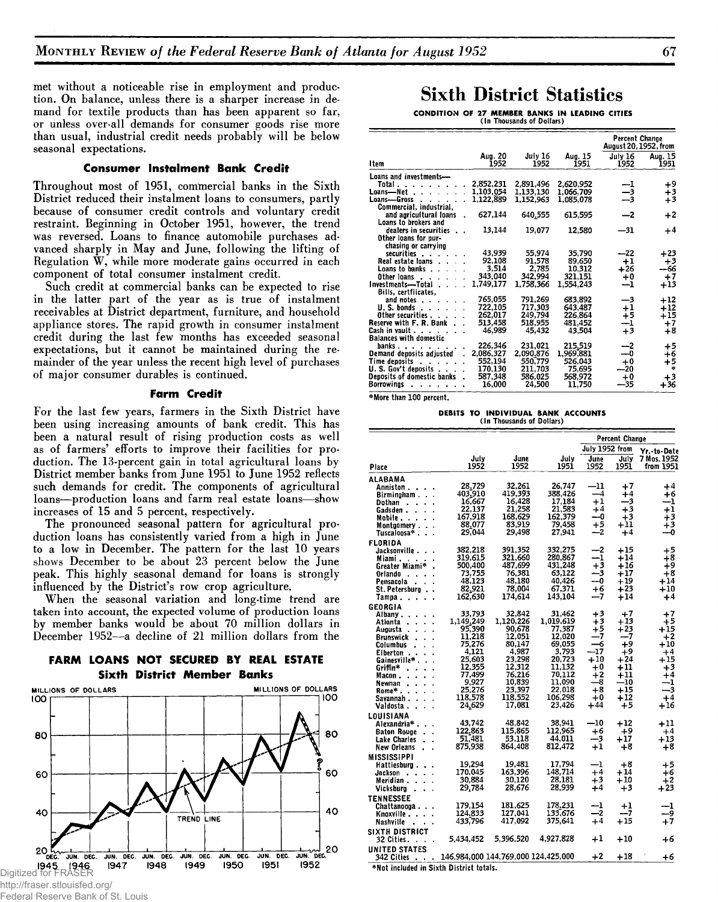**met without a noticeable rise in employment and production. On balance, unless there is a sharper increase in demand for textile products than has been apparent so far, or unless over-all demands for consumer goods rise more than usual, industrial credit needs probably will be below seasonal expectations.**

#### **Consumer Instalment Bank Credit**

**Throughout most of 1951, commercial banks in the Sixth District reduced their instalment loans to consumers, partly because of consumer credit controls and voluntary credit restraint. Beginning in October 1951, however, the trend was reversed. Loans to finance automobile purchases advanced sharply in May and June, following the lifting of Regulation W, while more moderate gains occurred in each component of total consumer instalment credit.**

**Such credit at commercial banks can be expected to rise in the latter part of the year as is true of instalment receivables at District department, furniture, and household appliance stores. The rapid growth in consumer instalment credit during the last few months has exceeded seasonal expectations, but it cannot be maintained during the remainder of the year unless the recent high level of purchases of major consumer durables is continued.**

#### **Farm Credit**

**For the last few years, farmers in the Sixth District have been using increasing amounts of bank credit. This has been a natural result of rising production costs as well as of farmers' efforts to improve their facilities for production. The 13-percent gain in total agricultural loans by District member banks from June 1951 to June 1952 reflects such demands for credit. The components of agricultural loans—production loans and farm real estate loans—show increases of 15 and 5 percent, respectively.**

**The pronounced seasonal pattern for agricultural production loans has consistently varied from a high in June to a low in December. The pattern for the last 10 years shows December to be about 23 percent below the June peak. This highly seasonal demand for loans is strongly influenced by the District's row crop agriculture.**

**When the seasonal variation and long-time trend are taken into account, the expected volume of production loans by member banks would be about 70 million dollars in December 1952—a decline of 21 million dollars from the**

#### **FARM LOANS NOT SECURED BY REAL ESTATE Sixth District Member Banks**



#### ederal Reserve Bank of St. Louis

## Sixth District Statistics

**CONDITION OF 27 MEMBER BANKS IN LEADING CITIES** (In Thousands of Dollars)

|                                                  |                 |                 |                 | Percent Change<br>August 20, 1952, from |                 |
|--------------------------------------------------|-----------------|-----------------|-----------------|-----------------------------------------|-----------------|
| Item                                             | Aug. 20<br>1952 | July 16<br>1952 | Aug. 15<br>1951 | July 16<br>1952                         | Aug. 15<br>1951 |
| Loans and investments-                           |                 |                 |                 |                                         |                 |
| Total                                            | 2,852,231       | 2.891.496       | 2.620.952       | $\frac{-1}{-3}$                         | +9              |
| Loans—Net .<br>$\mathbf{r}$                      | 1,103,054       | 1,133,130       | 1,066,709       |                                         | +3              |
| Loans—Gross                                      | 1,122,889       | 1,152,963       | 1,085,078       |                                         | $+3$            |
| Commercial, industrial,                          |                 |                 |                 |                                         |                 |
| and agricultural loans                           | 627.144         | 640,555         | 615.595         | $-2$                                    | $+2$            |
| Loans to brokers and                             |                 |                 |                 |                                         |                 |
| dealers in securities                            | 13,144          | 19,077          | 12,580          | —31                                     | $+4$            |
| Other loans for pur-                             |                 |                 |                 |                                         |                 |
| chasing or carrying                              |                 |                 |                 |                                         |                 |
| securities                                       | 43.939          | 55.974          | 35.790          | $-22$                                   | $+23$           |
| Real estate loans                                | 92,108          | 91.578          | 89.650          | $+1$                                    | $+3$            |
| <b>Loans to banks</b> .                          | 3,514           | 2,785           | 10.312          | $+26$                                   | --66            |
| Other loans                                      | 343,040         | 342,994         | 321,151         | $+0$                                    | $+7$            |
| Investments—Total .                              | 1.749,177       | 1.758.366       | 1,554.243       | --1                                     | $+13$           |
| Bills, certfiicates,                             |                 |                 |                 |                                         |                 |
| and notes.                                       | 765,055         | 791.269         | 683.892         | —3                                      | $+12$           |
| U. S. bonds .<br>$\cdot$                         | 722.105         | 717.303         | 643,487         |                                         | $+12$           |
| Other securities                                 | 262,017         | 249,794         | 226,864         | $^{+1}_{+5}$                            | $+15$           |
| Reserve with F. R. Bank                          | 513,458         | 518.955         | 481,452         | $\frac{-1}{+3}$                         | $^{+7}$         |
| Cash in vault<br>$\mathbf{r}$                    | 46,989          | 45,432          | 43.504          |                                         | $+8$            |
| <b>Balances with domestic</b>                    |                 |                 |                 |                                         |                 |
| banks<br>$\sim$ $\sim$ $\sim$                    | 226,346         | 231,021         | 215,519         | --2                                     | $+5$            |
| Demand deposits adjusted                         | 2,086,327       | 2.090.876       | 1,969,881       | $-0$                                    | $+6$            |
| Time deposits<br><b>Contract</b><br>$\mathbf{r}$ | 552.194         | 550,779         | 526.043         | $+0$                                    | +5              |
| U.S. Gov't deposits                              | 170.130         | 211.703         | 75.695          | $-20$                                   | $\mathcal{R}$   |
| Deposits of domestic banks                       | 587,348         | 586.025         | 568,972         | $+0$                                    | $+3$            |
| Borrowings                                       | 16.000          | 24.500          | 11.750          | —35                                     | $+36$           |
|                                                  |                 |                 |                 |                                         |                 |

\*More than 100 percent.

### **DEBITS TO INDIVIDUAL BANK ACCOUNTS** (In Thousands of Dollars)

|                                  |                                     |                  |                     |                | Percent Change |                          |
|----------------------------------|-------------------------------------|------------------|---------------------|----------------|----------------|--------------------------|
|                                  |                                     |                  |                     | July 1952 from |                | Yr.-to-Date              |
| Place                            | July<br>1952                        | June<br>1952     | July<br>1951        | June<br>1952   | July<br>1951   | 7 Mos. 1952<br>from 1951 |
| ALABAMA                          |                                     |                  |                     |                |                |                          |
| Anniston .                       | 28.729                              | 32.261           | 26.747              | -11            | $+7$           | +4                       |
| Birmingham.                      | 403,910                             | 419,393          | 388,426             | $-4$           | $+4$           | $+6$                     |
| Dothan                           | 16.667                              | 16,428           | 17.184              | $+1$           | —3             | --1                      |
| Gadsden .                        | 22.137                              | 21,258           | 21.583              | $+4$           | $+3$           | $^{+1}$                  |
| Mobile .<br>$\mathbf{r}$         | 167,918                             | 168,629          | 162,379             | --0            | $+3$           | $+3$                     |
| Montgomery.                      | 88.077                              | 83,919           | 79.458              | +5             | +11            | $+3$                     |
| Tuscaloosa* .<br>$\mathbf{r}$    | 29.044                              | 29.498           | 27,941              | —2             | $+4$           | —0                       |
| FLORIDA                          |                                     |                  |                     |                |                |                          |
| Jacksonville.                    | 382,218                             | 391.352          | 332.275             | —2             | $+15$          | $+5$                     |
| Miami. .                         | 319,615                             | 321,660          | 280,867             | --1            | $+14$          | $+8$                     |
| Greater Miami*                   | 500,400                             | 487.699          | 431.248             | $+3$           | +16            | $+9$                     |
| Orlando .                        | 73.755                              | 76,381           | 63.122              | -3             | $+17$          | $+8$                     |
| Pensacola                        | 48,123                              | 48,180           | 40,426              | --0            | + 19           | $+14$                    |
| St. Petersburg<br>$\bullet$      | 82,921                              | 78.004           | 67.371              | +6<br>-7       | $+23$          | $+10$                    |
| Tampa .<br>l,                    | 162,630                             | 174,614          | 143,104             |                | $+14$          | $^{+4}$                  |
| GEORGIA                          |                                     |                  |                     |                |                |                          |
| Albany .<br>$\ddot{\phantom{1}}$ | 33.793                              | 32.842           | 31.462              | +3             | $+7$           | $+7$                     |
| Atlanta<br>$\bullet$             | 1,149,249                           | 1,120,226        | 1,019.619<br>77.387 | $+3$           | $+13$          | $+5$                     |
| Augusta<br>$\ddot{\phantom{1}}$  | 95,390<br>11,218                    | 90,678<br>12.051 | 12.020              | +5<br>-7       | $+23$<br>--7   | $+15$<br>$+2$            |
| Brunswick                        | 75,276                              | 80.147           | 69.055              | -6             | +9             | $+10$                    |
| Columbus                         | 4.121                               | 4.987            | 3.793               | -17            | $+9$           | +4                       |
| Elberton .<br>Gainesville*       | 25,603                              | 23.298           | 20.723              | $+10$          | $+24$          | +15                      |
| Griffin*                         | 12.355                              | 12.312           | 11.132              | $+0$           | +11            | +3                       |
| Macon .                          | 77.499                              | 76.216           | 70.112              | $^{+2}$        | $+11$          | $+4$                     |
| Newnan                           | 9,927                               | 10,839           | 11.090              | —8             | $-10$          | -1                       |
| Rome*                            | 25.276                              | 23.397           | 22.018              | $+8$           | +15            | --3                      |
| Savannah.                        | 118.578                             | 118.552          | 106.298             | $+0$           | $+12$          | $+4$                     |
| Valdosta .                       | 24,629                              | 17,081           | 23.426              | +44            | +5             | $+16$                    |
| LOUISIANA                        |                                     |                  |                     |                |                |                          |
| Alexandria* .                    | 43,742                              | 48.842           | 38,941              | $-10$          | $+12$          | $+11$                    |
| <b>Baton Rouge</b>               | 122,863                             | 115,865          | 112.965             | +6             | +9             | $+4$                     |
| <b>Lake Charles</b>              | 51.481                              | 53.118           | 44.011              | -3             | $+17$          | +13                      |
| New Orleans                      | 875.938                             | 864,408          | 812,472             | $+1$           | $+8$           | $+8$                     |
| <b>MISSISSIPPI</b>               |                                     |                  |                     |                |                |                          |
| Hattiesburo .                    | 19,294                              | 19.481           | 17.794              | -1             | +8             | $+5$                     |
| Jackson<br>$\mathbf{r}$          | 170.045                             | 163.396          | 148,714             | $+4$           | $+14$          | $+6$                     |
| Meridian                         | 30.884                              | 30.120           | 28.181              | $+3$           | $+10$          | $+2$                     |
| Vicksburg                        | 29.784                              | 28.676           | 28,939              | +4             | $+3$           | +23                      |
| <b>TENNESSEE</b>                 |                                     |                  |                     |                |                |                          |
| Chattanooga.                     | 179.154                             | 181.625          | 178.231             | --1            | $^{+1}$        | --1                      |
| Knoxville                        | 124.833                             | 127.041          | 133,676             | -2             | -- 7           | و۔                       |
| Nashville<br>$\sim$              | 433,796                             | 417.092          | 375.641             | $+4$           | $+15$          | $+7$                     |
| SIXTH DISTRICT                   |                                     |                  |                     |                |                |                          |
| 32 Cities.                       | 5,434,452                           | 5,396,520        | 4.927.828           | $+1$           | $+10$          | +6                       |
| <b>UNITED STATES</b>             |                                     |                  |                     |                |                |                          |
| 342 Cities                       | 146,984,000 144,769,000 124,425,000 |                  |                     | $+2$           | $+18$          | +6                       |
|                                  |                                     |                  |                     |                |                |                          |

\*Not included in Sixth District totals.